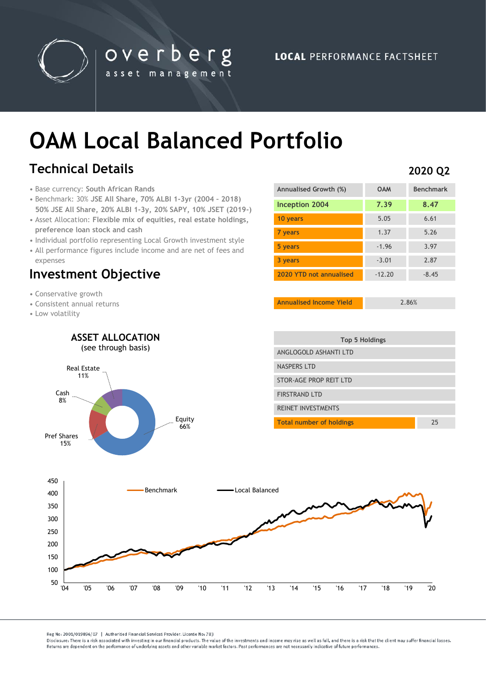

overberg asset management

# **OAM Local Balanced Portfolio**

## **Technical Details**

- Base currency: **South African Rands**
- Benchmark: 30% **JSE All Share, 70% ALBI 1-3yr (2004 – 2018) 50% JSE All Share, 20% ALBI 1-3y, 20% SAPY, 10% JSET (2019-)**
- Asset Allocation: **Flexible mix of equities, real estate holdings, preference loan stock and cash**
- Individual portfolio representing Local Growth investment style
- All performance figures include income and are net of fees and expenses

## **Investment Objective**

- Conservative growth
- Consistent annual returns
- Low volatility

| Annualised Growth (%)   | <b>OAM</b> | <b>Benchmark</b> |
|-------------------------|------------|------------------|
| Inception 2004          | 7.39       | 8.47             |
| 10 years                | 5.05       | 6.61             |
| 7 years                 | 1.37       | 5.26             |
| 5 years                 | $-1.96$    | 3.97             |
| 3 years                 | $-3.01$    | 2.87             |
| 2020 YTD not annualised | $-12.20$   | $-8.45$          |

**Annualised Income Yield** 2.86%



Reg No: 2001/019896/07 | Authorised Financial Services Provider, License No: 783

Disclosure: There is a risk associated with investing in our financial products. The value of the investments and income may rise as well as fall, and there is a risk that the client may suffer financial losses Beturns are dependent on the performance of underlying assets and other variable market factors. Past performances are not necessarily indicative of future performances.

### **2020 Q2**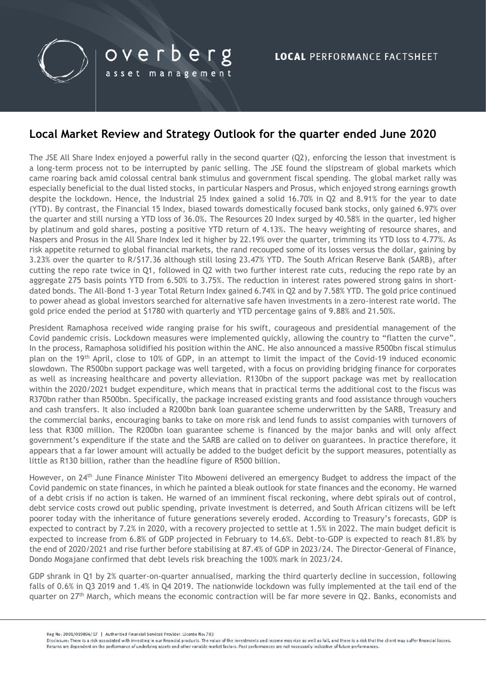

## **Local Market Review and Strategy Outlook for the quarter ended June 2020**

The JSE All Share Index enjoyed a powerful rally in the second quarter (Q2), enforcing the lesson that investment is a long-term process not to be interrupted by panic selling. The JSE found the slipstream of global markets which came roaring back amid colossal central bank stimulus and government fiscal spending. The global market rally was especially beneficial to the dual listed stocks, in particular Naspers and Prosus, which enjoyed strong earnings growth despite the lockdown. Hence, the Industrial 25 Index gained a solid 16.70% in Q2 and 8.91% for the year to date (YTD). By contrast, the Financial 15 Index, biased towards domestically focused bank stocks, only gained 6.97% over the quarter and still nursing a YTD loss of 36.0%. The Resources 20 Index surged by 40.58% in the quarter, led higher by platinum and gold shares, posting a positive YTD return of 4.13%. The heavy weighting of resource shares, and Naspers and Prosus in the All Share Index led it higher by 22.19% over the quarter, trimming its YTD loss to 4.77%. As risk appetite returned to global financial markets, the rand recouped some of its losses versus the dollar, gaining by 3.23% over the quarter to R/\$17.36 although still losing 23.47% YTD. The South African Reserve Bank (SARB), after cutting the repo rate twice in Q1, followed in Q2 with two further interest rate cuts, reducing the repo rate by an aggregate 275 basis points YTD from 6.50% to 3.75%. The reduction in interest rates powered strong gains in shortdated bonds. The All-Bond 1-3 year Total Return Index gained 6.74% in Q2 and by 7.58% YTD. The gold price continued to power ahead as global investors searched for alternative safe haven investments in a zero-interest rate world. The gold price ended the period at \$1780 with quarterly and YTD percentage gains of 9.88% and 21.50%.

President Ramaphosa received wide ranging praise for his swift, courageous and presidential management of the Covid pandemic crisis. Lockdown measures were implemented quickly, allowing the country to "flatten the curve". In the process, Ramaphosa solidified his position within the ANC. He also announced a massive R500bn fiscal stimulus plan on the 19th April, close to 10% of GDP, in an attempt to limit the impact of the Covid-19 induced economic slowdown. The R500bn support package was well targeted, with a focus on providing bridging finance for corporates as well as increasing healthcare and poverty alleviation. R130bn of the support package was met by reallocation within the 2020/2021 budget expenditure, which means that in practical terms the additional cost to the fiscus was R370bn rather than R500bn. Specifically, the package increased existing grants and food assistance through vouchers and cash transfers. It also included a R200bn bank loan guarantee scheme underwritten by the SARB, Treasury and the commercial banks, encouraging banks to take on more risk and lend funds to assist companies with turnovers of less that R300 million. The R200bn loan guarantee scheme is financed by the major banks and will only affect government's expenditure if the state and the SARB are called on to deliver on guarantees. In practice therefore, it appears that a far lower amount will actually be added to the budget deficit by the support measures, potentially as little as R130 billion, rather than the headline figure of R500 billion.

However, on 24<sup>th</sup> June Finance Minister Tito Mboweni delivered an emergency Budget to address the impact of the Covid pandemic on state finances, in which he painted a bleak outlook for state finances and the economy. He warned of a debt crisis if no action is taken. He warned of an imminent fiscal reckoning, where debt spirals out of control, debt service costs crowd out public spending, private investment is deterred, and South African citizens will be left poorer today with the inheritance of future generations severely eroded. According to Treasury's forecasts, GDP is expected to contract by 7.2% in 2020, with a recovery projected to settle at 1.5% in 2022. The main budget deficit is expected to increase from 6.8% of GDP projected in February to 14.6%. Debt-to-GDP is expected to reach 81.8% by the end of 2020/2021 and rise further before stabilising at 87.4% of GDP in 2023/24. The Director-General of Finance, Dondo Mogajane confirmed that debt levels risk breaching the 100% mark in 2023/24.

GDP shrank in Q1 by 2% quarter-on-quarter annualised, marking the third quarterly decline in succession, following falls of 0.6% in Q3 2019 and 1.4% in Q4 2019. The nationwide lockdown was fully implemented at the tail end of the quarter on 27<sup>th</sup> March, which means the economic contraction will be far more severe in Q2. Banks, economists and

Reg No: 2001/019896/07 | Authorised Financial Services Provider, License No: 783

Disclosure: There is a risk associated with investing in our financial products. The value of the investments and income may rise as well as fall, and there is a risk that the client may suffer financial losses Returns are dependent on the performance of underlying assets and other variable market factors. Past performances are not necessarily indicative of future performances.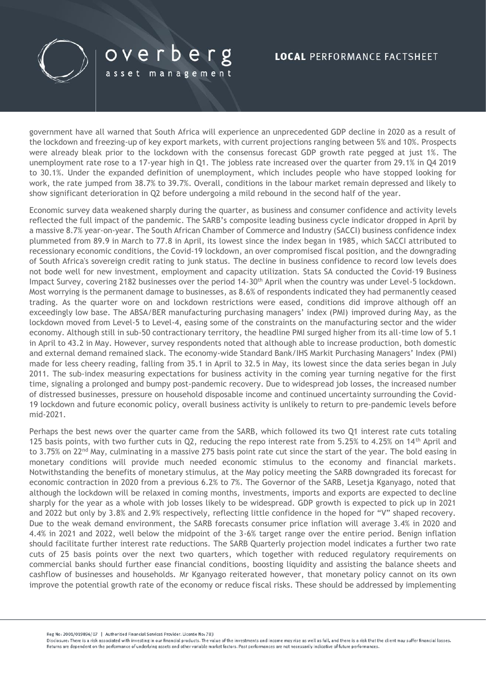

# overberg

asset management

### **LOCAL PERFORMANCE FACTSHEET**

government have all warned that South Africa will experience an unprecedented GDP decline in 2020 as a result of the lockdown and freezing-up of key export markets, with current projections ranging between 5% and 10%. Prospects were already bleak prior to the lockdown with the consensus forecast GDP growth rate pegged at just 1%. The unemployment rate rose to a 17-year high in Q1. The jobless rate increased over the quarter from 29.1% in Q4 2019 to 30.1%. Under the expanded definition of unemployment, which includes people who have stopped looking for work, the rate jumped from 38.7% to 39.7%. Overall, conditions in the labour market remain depressed and likely to show significant deterioration in Q2 before undergoing a mild rebound in the second half of the year.

Economic survey data weakened sharply during the quarter, as business and consumer confidence and activity levels reflected the full impact of the pandemic. The SARB's composite leading business cycle indicator dropped in April by a massive 8.7% year-on-year. The South African Chamber of Commerce and Industry (SACCI) business confidence index plummeted from 89.9 in March to 77.8 in April, its lowest since the index began in 1985, which SACCI attributed to recessionary economic conditions, the Covid-19 lockdown, an over compromised fiscal position, and the downgrading of South Africa's sovereign credit rating to junk status. The decline in business confidence to record low levels does not bode well for new investment, employment and capacity utilization. Stats SA conducted the Covid-19 Business Impact Survey, covering 2182 businesses over the period 14-30<sup>th</sup> April when the country was under Level-5 lockdown. Most worrying is the permanent damage to businesses, as 8.6% of respondents indicated they had permanently ceased trading. As the quarter wore on and lockdown restrictions were eased, conditions did improve although off an exceedingly low base. The ABSA/BER manufacturing purchasing managers' index (PMI) improved during May, as the lockdown moved from Level-5 to Level-4, easing some of the constraints on the manufacturing sector and the wider economy. Although still in sub-50 contractionary territory, the headline PMI surged higher from its all-time low of 5.1 in April to 43.2 in May. However, survey respondents noted that although able to increase production, both domestic and external demand remained slack. The economy-wide Standard Bank/IHS Markit Purchasing Managers' Index (PMI) made for less cheery reading, falling from 35.1 in April to 32.5 in May, its lowest since the data series began in July 2011. The sub-index measuring expectations for business activity in the coming year turning negative for the first time, signaling a prolonged and bumpy post-pandemic recovery. Due to widespread job losses, the increased number of distressed businesses, pressure on household disposable income and continued uncertainty surrounding the Covid-19 lockdown and future economic policy, overall business activity is unlikely to return to pre-pandemic levels before mid-2021.

Perhaps the best news over the quarter came from the SARB, which followed its two Q1 interest rate cuts totaling 125 basis points, with two further cuts in Q2, reducing the repo interest rate from 5.25% to 4.25% on 14<sup>th</sup> April and to 3.75% on 22<sup>nd</sup> May, culminating in a massive 275 basis point rate cut since the start of the year. The bold easing in monetary conditions will provide much needed economic stimulus to the economy and financial markets. Notwithstanding the benefits of monetary stimulus, at the May policy meeting the SARB downgraded its forecast for economic contraction in 2020 from a previous 6.2% to 7%. The Governor of the SARB, Lesetja Kganyago, noted that although the lockdown will be relaxed in coming months, investments, imports and exports are expected to decline sharply for the year as a whole with job losses likely to be widespread. GDP growth is expected to pick up in 2021 and 2022 but only by 3.8% and 2.9% respectively, reflecting little confidence in the hoped for "V" shaped recovery. Due to the weak demand environment, the SARB forecasts consumer price inflation will average 3.4% in 2020 and 4.4% in 2021 and 2022, well below the midpoint of the 3-6% target range over the entire period. Benign inflation should facilitate further interest rate reductions. The SARB Quarterly projection model indicates a further two rate cuts of 25 basis points over the next two quarters, which together with reduced regulatory requirements on commercial banks should further ease financial conditions, boosting liquidity and assisting the balance sheets and cashflow of businesses and households. Mr Kganyago reiterated however, that monetary policy cannot on its own improve the potential growth rate of the economy or reduce fiscal risks. These should be addressed by implementing

Reg No: 2001/019896/07 | Authorised Financial Services Provider, License No: 783

Disclosure: There is a risk associated with investing in our financial products. The value of the investments and income may rise as well as fall, and there is a risk that the client may suffer financial losses Returns are dependent on the performance of underlying assets and other variable market factors. Past performances are not necessarily indicative of future performances.